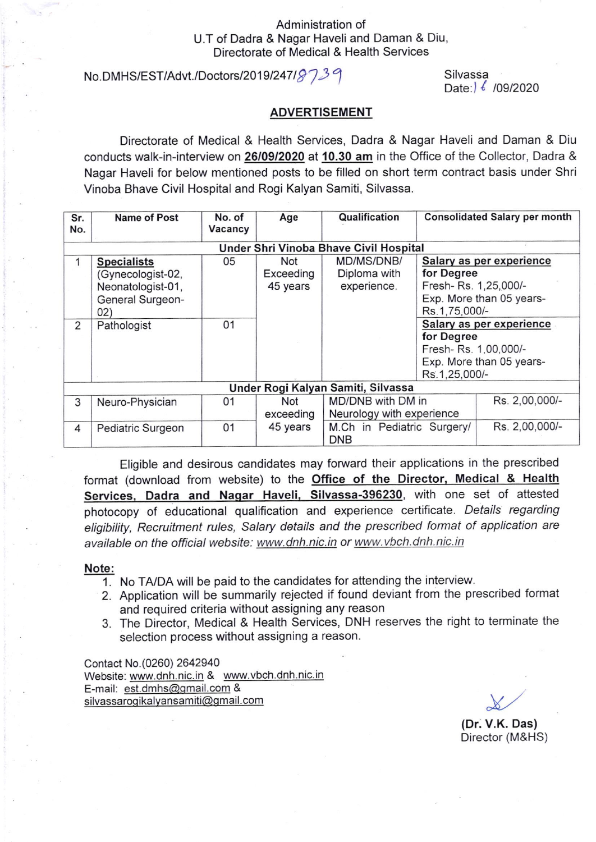## Administration of U.T of Dadra & Nagar Haveli and Daman & Diu, Directorate of Medical & Health Services

# No.DMHS/EST/Advt./Doctors/2019/247/ $8739$

Silvassa Date: 6 / 09/2020

### ADVERTISEMENT

Directorate of Medical & Health Services, Dadra & Nagar Haveli and Daman & Diu conducts walk-in-interview on 26/09/2020 at 10.30 am in the Office of the Collector, Dadra & Nagar Haveli for below mentioned posts to be filled on short term contract basis under Shri Vinoba Bhave Civil Hospital and Rogi Kalyan Samiti, Silvassa.

| Sr.<br>No.                             | <b>Name of Post</b>                                                                     | No. of<br>Vacancy | Age                          | Qualification                                              |                                                                                                                                                                                                                            | <b>Consolidated Salary per month</b> |  |  |
|----------------------------------------|-----------------------------------------------------------------------------------------|-------------------|------------------------------|------------------------------------------------------------|----------------------------------------------------------------------------------------------------------------------------------------------------------------------------------------------------------------------------|--------------------------------------|--|--|
| Under Shri Vinoba Bhave Civil Hospital |                                                                                         |                   |                              |                                                            |                                                                                                                                                                                                                            |                                      |  |  |
|                                        | <b>Specialists</b><br>(Gynecologist-02,<br>Neonatologist-01,<br>General Surgeon-<br>02) | 05                | Not<br>Exceeding<br>45 years | MD/MS/DNB/<br>Diploma with<br>experience.                  | Salary as per experience<br>for Degree<br>Fresh-Rs. 1,25,000/-<br>Exp. More than 05 years-<br>Rs.1,75,000/-<br>Salary as per experience<br>for Degree<br>Fresh-Rs. 1,00,000/-<br>Exp. More than 05 years-<br>Rs.1,25,000/- |                                      |  |  |
| 2                                      | Pathologist                                                                             | 01                |                              |                                                            |                                                                                                                                                                                                                            |                                      |  |  |
| Under Rogi Kalyan Samiti, Silvassa     |                                                                                         |                   |                              |                                                            |                                                                                                                                                                                                                            |                                      |  |  |
| 3                                      | Neuro-Physician                                                                         | 01                | Not<br>exceeding             | MD/DNB with DM in<br>Neurology with experience             |                                                                                                                                                                                                                            | Rs. 2,00,000/-                       |  |  |
| 4                                      | Pediatric Surgeon                                                                       | 01                | 45 years                     | M.Ch in Pediatric Surgery/<br>Rs. 2,00,000/-<br><b>DNB</b> |                                                                                                                                                                                                                            |                                      |  |  |

Eligible and desirous candidates may forward their applications in the prescribed format (download from website) to the Office of the Director, Medical & Health Services, Dadra and Nagar Haveli, Silvassa-396230, with one set of attested photocopy of educational qualification and experience certificate. Details regarding eligibility, Recruitment rules, Salary details and the prescribed format of application are available on the official website: www.dnh.nic.in or www.vbch.dnh.nic.in

#### Note:

- 1. No TA/DA will be paid to the candidates for attending the interview.
- 2. Application will be summarily rejected if found deviant from the prescribed format and required criteria without assigning any reason
- 3. The Director, Medical & Health Services, DNH reserves the right to terminate the selection process without assigning a reason.

Contact No. (0260) 2642940 Website: www.dnh.nic.in & www.vbch.dnh.nic.in E-mail: est.dmhs@gmail.com & silvassaroqikalvansamiti@qmail.com

 $\chi$ 

(Dr. V.K. Das) Director (M&HS)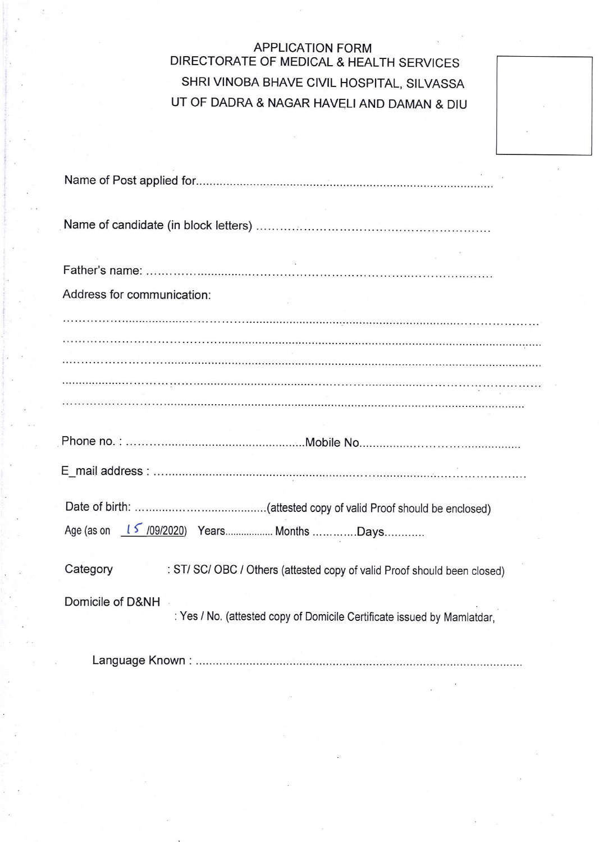# APPLICATION FORM DIRECTORATE OF MEDICAL & HEALTH SERVICES SHRI VINOBA BHAVE CIVIL HOSPITAL, SILVASSA UT OF DADRA & NAGAR HAVELI AND DAMAN & DIU

| Address for communication:                                                                  |
|---------------------------------------------------------------------------------------------|
|                                                                                             |
|                                                                                             |
|                                                                                             |
|                                                                                             |
|                                                                                             |
|                                                                                             |
| Age (as on 15 /09/2020) Years Months Days                                                   |
| Category<br>: ST/ SC/ OBC / Others (attested copy of valid Proof should been closed)        |
| Domicile of D&NH<br>: Yes / No. (attested copy of Domicile Certificate issued by Mamlatdar, |

Language Known :